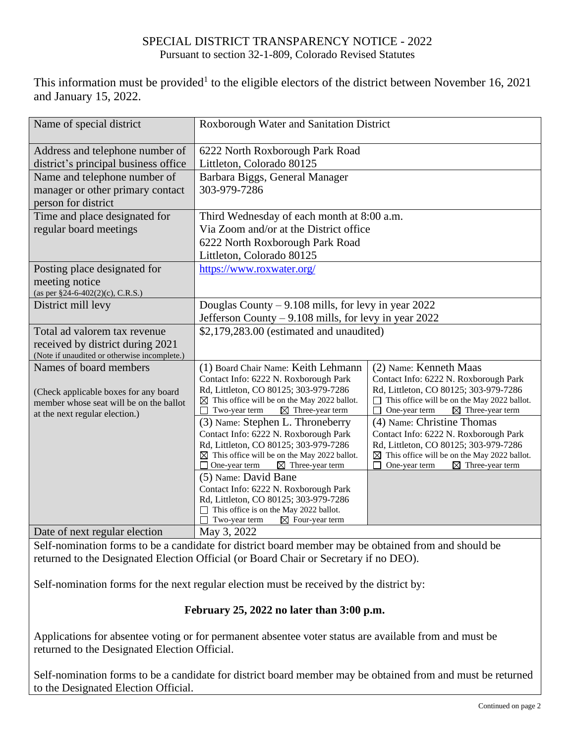## SPECIAL DISTRICT TRANSPARENCY NOTICE - 2022 Pursuant to section 32-1-809, Colorado Revised Statutes

This information must be provided<sup>1</sup> to the eligible electors of the district between November 16, 2021 and January 15, 2022.

| Name of special district                                                                                         | Roxborough Water and Sanitation District                                                                                                                                                                                      |                                                                                                                                                                                                                         |  |
|------------------------------------------------------------------------------------------------------------------|-------------------------------------------------------------------------------------------------------------------------------------------------------------------------------------------------------------------------------|-------------------------------------------------------------------------------------------------------------------------------------------------------------------------------------------------------------------------|--|
| Address and telephone number of<br>district's principal business office                                          | 6222 North Roxborough Park Road<br>Littleton, Colorado 80125                                                                                                                                                                  |                                                                                                                                                                                                                         |  |
| Name and telephone number of<br>manager or other primary contact<br>person for district                          | Barbara Biggs, General Manager<br>303-979-7286                                                                                                                                                                                |                                                                                                                                                                                                                         |  |
| Time and place designated for<br>regular board meetings                                                          | Third Wednesday of each month at 8:00 a.m.<br>Via Zoom and/or at the District office<br>6222 North Roxborough Park Road<br>Littleton, Colorado 80125                                                                          |                                                                                                                                                                                                                         |  |
| Posting place designated for<br>meeting notice<br>(as per §24-6-402(2)(c), C.R.S.)                               | https://www.roxwater.org/                                                                                                                                                                                                     |                                                                                                                                                                                                                         |  |
| District mill levy                                                                                               | Douglas County – 9.108 mills, for levy in year 2022<br>Jefferson County – 9.108 mills, for levy in year 2022                                                                                                                  |                                                                                                                                                                                                                         |  |
| Total ad valorem tax revenue<br>received by district during 2021<br>(Note if unaudited or otherwise incomplete.) | \$2,179,283.00 (estimated and unaudited)                                                                                                                                                                                      |                                                                                                                                                                                                                         |  |
| Names of board members<br>(Check applicable boxes for any board<br>member whose seat will be on the ballot       | (1) Board Chair Name: Keith Lehmann<br>Contact Info: 6222 N. Roxborough Park<br>Rd, Littleton, CO 80125; 303-979-7286<br>This office will be on the May 2022 ballot.<br>⊠<br>$\boxtimes$ Three-year term<br>Two-year term     | (2) Name: Kenneth Maas<br>Contact Info: 6222 N. Roxborough Park<br>Rd, Littleton, CO 80125; 303-979-7286<br>This office will be on the May 2022 ballot.<br>One-year term<br>$\boxtimes$ Three-year term                 |  |
| at the next regular election.)                                                                                   | (3) Name: Stephen L. Throneberry<br>Contact Info: 6222 N. Roxborough Park<br>Rd, Littleton, CO 80125; 303-979-7286<br>$\boxtimes$ This office will be on the May 2022 ballot.<br>One-year term<br>$\boxtimes$ Three-year term | (4) Name: Christine Thomas<br>Contact Info: 6222 N. Roxborough Park<br>Rd, Littleton, CO 80125; 303-979-7286<br>$\boxtimes$ This office will be on the May 2022 ballot.<br>One-year term<br>$\boxtimes$ Three-year term |  |
|                                                                                                                  | (5) Name: David Bane<br>Contact Info: 6222 N. Roxborough Park<br>Rd, Littleton, CO 80125; 303-979-7286<br>This office is on the May 2022 ballot.<br>$\boxtimes$ Four-year term<br>Two-year term                               |                                                                                                                                                                                                                         |  |
| Date of next regular election                                                                                    | May 3, 2022                                                                                                                                                                                                                   |                                                                                                                                                                                                                         |  |

Self-nomination forms to be a candidate for district board member may be obtained from and should be returned to the Designated Election Official (or Board Chair or Secretary if no DEO).

Self-nomination forms for the next regular election must be received by the district by:

## **February 25, 2022 no later than 3:00 p.m.**

Applications for absentee voting or for permanent absentee voter status are available from and must be returned to the Designated Election Official.

Self-nomination forms to be a candidate for district board member may be obtained from and must be returned to the Designated Election Official.